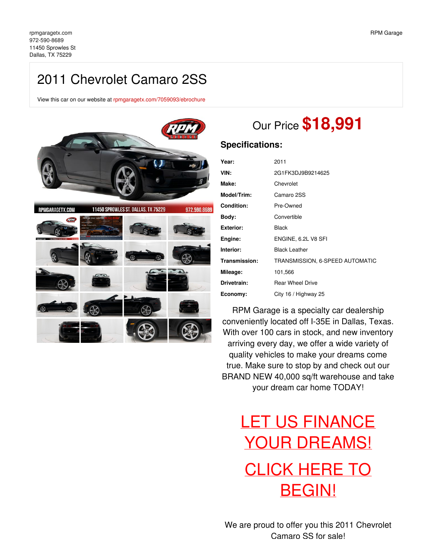# 2011 Chevrolet Camaro 2SS

View this car on our website at [rpmgaragetx.com/7059093/ebrochure](https://rpmgaragetx.com/vehicle/7059093/2011-chevrolet-camaro-2ss-dallas-tx-75229/7059093/ebrochure)



# Our Price **\$18,991**

### **Specifications:**

| Year:            | 2011                            |
|------------------|---------------------------------|
| VIN:             | 2G1FK3DJ9B9214625               |
| Make:            | Chevrolet                       |
| Model/Trim:      | Camaro 2SS                      |
| Condition:       | Pre-Owned                       |
| Body:            | Convertible                     |
| <b>Exterior:</b> | <b>Black</b>                    |
| Engine:          | ENGINE, 6.2L V8 SFI             |
| Interior:        | <b>Black Leather</b>            |
| Transmission:    | TRANSMISSION, 6-SPEED AUTOMATIC |
| Mileage:         | 101,566                         |
| Drivetrain:      | <b>Rear Wheel Drive</b>         |
| Economy:         | City 16 / Highway 25            |

RPM Garage is a specialty car dealership conveniently located off I-35E in Dallas, Texas. With over 100 cars in stock, and new inventory arriving every day, we offer a wide variety of quality vehicles to make your dreams come true. Make sure to stop by and check out our BRAND NEW 40,000 sq/ft warehouse and take your dream car home TODAY!

# LET US FINANCE YOUR [DREAMS!](https://rpmgaragetx.com/financing) CLICK HERE TO [BEGIN!](https://rpmgaragetx.com/financing)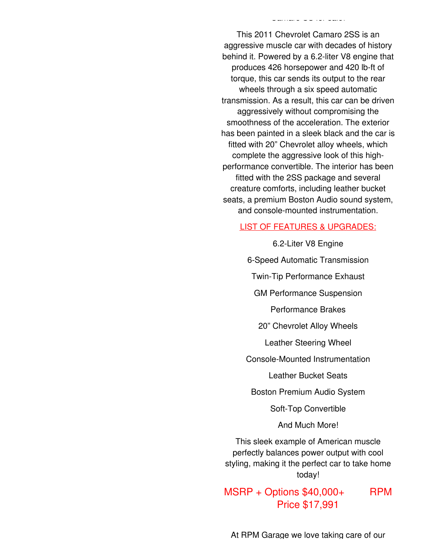This 2011 Chevrolet Camaro 2SS is an aggressive muscle car with decades of history behind it. Powered by a 6.2-liter V8 engine that produces 426 horsepower and 420 lb-ft of torque, this car sends its output to the rear wheels through a six speed automatic transmission. As a result, this car can be driven aggressively without compromising the smoothness of the acceleration. The exterior has been painted in a sleek black and the car is fitted with 20" Chevrolet alloy wheels, which complete the aggressive look of this highperformance convertible. The interior has been fitted with the 2SS package and several creature comforts, including leather bucket seats, a premium Boston Audio sound system, and console-mounted instrumentation.

Camaro SS for sale!

### LIST OF FEATURES & UPGRADES:

6.2-Liter V8 Engine 6-Speed Automatic Transmission Twin-Tip Performance Exhaust GM Performance Suspension Performance Brakes 20" Chevrolet Alloy Wheels Leather Steering Wheel Console-Mounted Instrumentation Leather Bucket Seats Boston Premium Audio System Soft-Top Convertible And Much More! This sleek example of American muscle

perfectly balances power output with cool styling, making it the perfect car to take home today!

 $MSRP + Options$  \$40,000+ RPM Price \$17,991

At RPM Garage we love taking care of our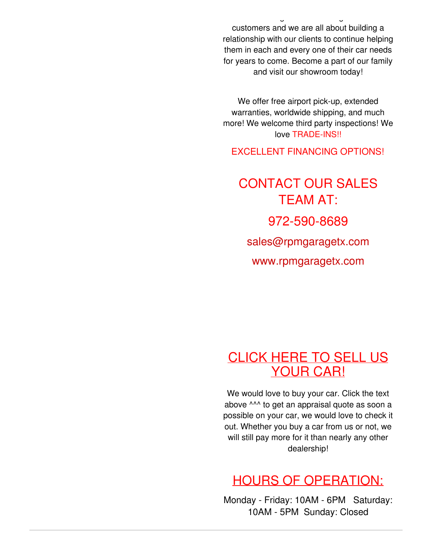At RPM Garage we love taking care of our customers and we are all about building a relationship with our clients to continue helping them in each and every one of their car needs for years to come. Become a part of our family and visit our showroom today!

We offer free airport pick-up, extended warranties, worldwide shipping, and much more! We welcome third party inspections! We love TRADE-INS!!

EXCELLENT FINANCING OPTIONS!

CONTACT OUR SALES TEAM AT: 972-590-8689 [sales@rpmgaragetx.com](mailto:sales@rpmgaragetx.com) [www.rpmgaragetx.com](http://www.rpmgaragetx.com)

## [CLICK](https://rpmgaragetx.com/sell-us-your-car) HERE TO SELL US YOUR CAR!

We would love to buy your car. Click the text above ^^^ to get an appraisal quote as soon a possible on your car, we would love to check it out. Whether you buy a car from us or not, we will still pay more for it than nearly any other dealership!

## HOURS OF OPERATION:

Monday - Friday: 10AM - 6PM Saturday: 10AM - 5PM Sunday: Closed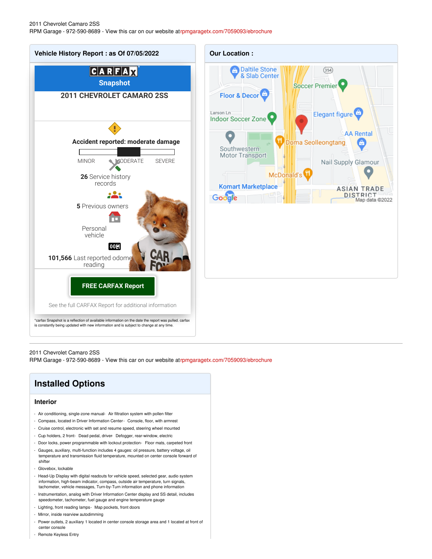

2011 Chevrolet Camaro 2SS

RPM Garage - 972-590-8689 - View this car on our website a[trpmgaragetx.com/7059093/ebrochure](https://rpmgaragetx.com/vehicle/7059093/2011-chevrolet-camaro-2ss-dallas-tx-75229/7059093/ebrochure)

### **Installed Options**

#### **Interior**

- Air conditioning, single-zone manual- Air filtration system with pollen filter
- Compass, located in Driver Information Center- Console, floor, with armrest
- Cruise control, electronic with set and resume speed, steering wheel mounted
- Cup holders, 2 front- Dead pedal, driver- Defogger, rear-window, electric
- Door locks, power programmable with lockout protection- Floor mats, carpeted front
- Gauges, auxiliary, multi-function includes 4 gauges: oil pressure, battery voltage, oil temperature and transmission fluid temperature, mounted on center console forward of shifter
- Glovebox, lockable
- Head-Up Display with digital readouts for vehicle speed, selected gear, audio system information, high-beam indicator, compass, outside air temperature, turn signals, tachometer, vehicle messages, Turn-by-Turn information and phone information
- Instrumentation, analog with Driver Information Center display and SS detail, includes speedometer, tachometer, fuel gauge and engine temperature gauge
- Lighting, front reading lamps- Map pockets, front doors
- Mirror, inside rearview autodimming
- Power outlets, 2 auxiliary 1 located in center console storage area and 1 located at front of center console
- Remote Keyless Entry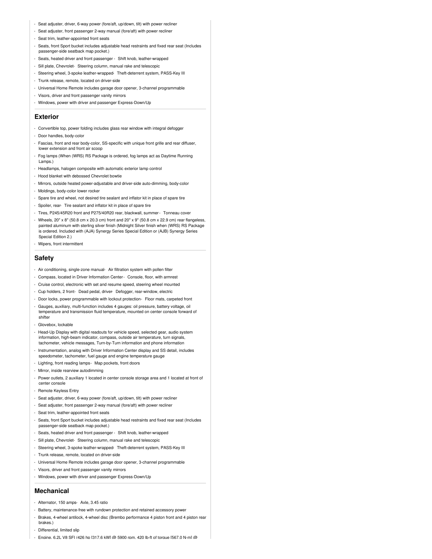- Seat adjuster, driver, 6-way power (fore/aft, up/down, tilt) with power recliner
- Seat adjuster, front passenger 2-way manual (fore/aft) with power recliner
- Seat trim, leather-appointed front seats
- Seats, front Sport bucket includes adjustable head restraints and fixed rear seat (Includes passenger-side seatback map pocket.)
- Seats, heated driver and front passenger Shift knob, leather-wrapped
- Sill plate, Chevrolet- Steering column, manual rake and telescopic
- Steering wheel, 3-spoke leather-wrapped- Theft-deterrent system, PASS-Key III
- Trunk release, remote, located on driver-side
- Universal Home Remote includes garage door opener, 3-channel programmable
- Visors, driver and front passenger vanity mirrors
- Windows, power with driver and passenger Express-Down/Up

#### **Exterior**

- Convertible top, power folding includes glass rear window with integral defogger
- Door handles, body-color
- Fascias, front and rear body-color, SS-specific with unique front grille and rear diffuser, lower extension and front air scoop
- Fog lamps (When (WRS) RS Package is ordered, fog lamps act as Daytime Running Lamps.)
- Headlamps, halogen composite with automatic exterior lamp control
- Hood blanket with debossed Chevrolet bowtie
- Mirrors, outside heated power-adjustable and driver-side auto-dimming, body-color
- Moldings, body-color lower rocker
- Spare tire and wheel, not desired tire sealant and inflator kit in place of spare tire
- Spoiler, rear- Tire sealant and inflator kit in place of spare tire
- Tires, P245/45R20 front and P275/40R20 rear, blackwall, summer- Tonneau cover
- Wheels, 20" x 8" (50.8 cm x 20.3 cm) front and 20" x 9" (50.8 cm x 22.9 cm) rear flangeless, painted aluminum with sterling silver finish (Midnight Silver finish when (WRS) RS Package is ordered. Included with (AJA) Synergy Series Special Edition or (AJB) Synergy Series Special Edition 2.)
- Wipers, front intermittent

#### **Safety**

- Air conditioning, single-zone manual- Air filtration system with pollen filter
- Compass, located in Driver Information Center- Console, floor, with armrest
- Cruise control, electronic with set and resume speed, steering wheel mounted
- Cup holders, 2 front- Dead pedal, driver- Defogger, rear-window, electric
- Door locks, power programmable with lockout protection- Floor mats, carpeted front
- Gauges, auxiliary, multi-function includes 4 gauges: oil pressure, battery voltage, oil temperature and transmission fluid temperature, mounted on center console forward of shifter
- Glovebox, lockable
- Head-Up Display with digital readouts for vehicle speed, selected gear, audio system information, high-beam indicator, compass, outside air temperature, turn signals, tachometer, vehicle messages, Turn-by-Turn information and phone information
- Instrumentation, analog with Driver Information Center display and SS detail, includes speedometer, tachometer, fuel gauge and engine temperature gauge
- Lighting, front reading lamps- Map pockets, front doors
- Mirror, inside rearview autodimming
- Power outlets, 2 auxiliary 1 located in center console storage area and 1 located at front of center console
- Remote Keyless Entry
- Seat adjuster, driver, 6-way power (fore/aft, up/down, tilt) with power recliner
- Seat adjuster, front passenger 2-way manual (fore/aft) with power recliner
- Seat trim, leather-appointed front seats
- Seats, front Sport bucket includes adjustable head restraints and fixed rear seat (Includes passenger-side seatback map pocket.)
- Seats, heated driver and front passenger Shift knob, leather-wrapped
- Sill plate, Chevrolet- Steering column, manual rake and telescopic
- Steering wheel, 3-spoke leather-wrapped- Theft-deterrent system, PASS-Key III
- Trunk release, remote, located on driver-side
- Universal Home Remote includes garage door opener, 3-channel programmable
- Visors, driver and front passenger vanity mirrors
- Windows, power with driver and passenger Express-Down/Up

### **Mechanical**

- Alternator, 150 amps- Axle, 3.45 ratio
- Battery, maintenance-free with rundown protection and retained accessory power
- Brakes, 4-wheel antilock, 4-wheel disc (Brembo performance 4 piston front and 4 piston rear brakes.)
- Differential, limited slip
- Engine, 6.2L V8 SFI (426 hp [317.6 kW] @ 5900 rpm, 420 lb-ft of torque [567.0 N-m] @